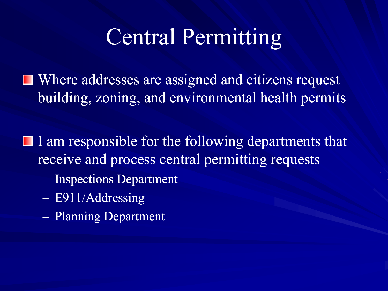### Central Permitting

**■ Where addresses are assigned and citizens request** building, zoning, and environmental health permits

 $\blacksquare$  I am responsible for the following departments that receive and process central permitting requests

- Inspections Department
- E911/Addressing
- Planning Department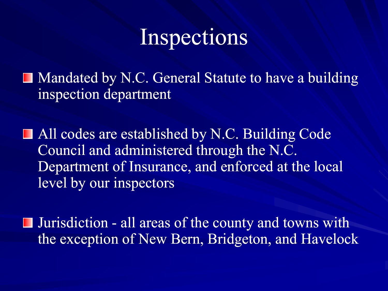

■ Mandated by N.C. General Statute to have a building inspection department

■ All codes are established by N.C. Building Code Council and administered through the N.C. Department of Insurance, and enforced at the local level by our inspectors

Jurisdiction - all areas of the county and towns with the exception of New Bern, Bridgeton, and Havelock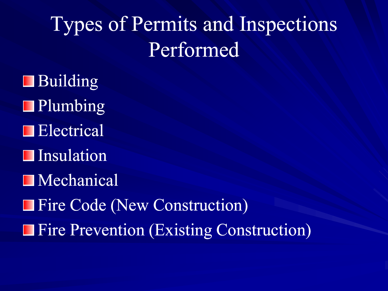# Types of Permits and Inspections Performed

**Building Plumbing Electrical Insulation Mechanical** Fire Code (New Construction) **Fire Prevention (Existing Construction)**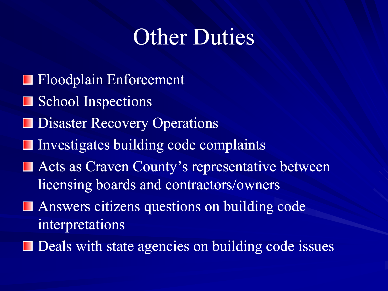# Other Duties

- **Floodplain Enforcement**
- School Inspections
- Disaster Recovery Operations
- $\blacksquare$  Investigates building code complaints
- Acts as Craven County's representative between licensing boards and contractors/owners
- **Answers citizens questions on building code** interpretations
- Deals with state agencies on building code issues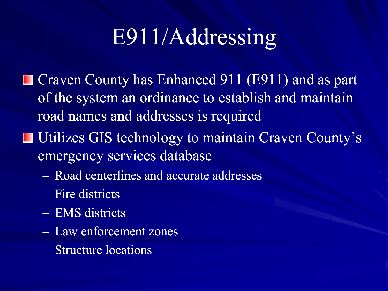# E911/Addressing

- Craven County has Enhanced 911 (E911) and as part of the system an ordinance to establish and maintain road names and addresses is required
- **Utilizes GIS technology to maintain Craven County's** emergency services database
	- Road centerlines and accurate addresses
	- Fire districts
	- EMS districts
	- Law enforcement zones
	- Structure locations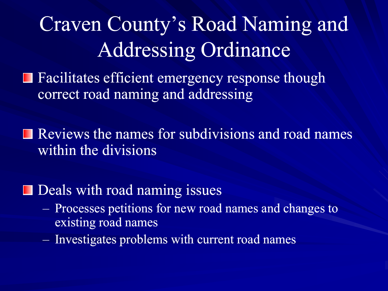# Craven County's Road Naming and Addressing Ordinance

Facilitates efficient emergency response though Ш correct road naming and addressing

Reviews the names for subdivisions and road names within the divisions

### $\blacksquare$  Deals with road naming issues

- Processes petitions for new road names and changes to existing road names
- Investigates problems with current road names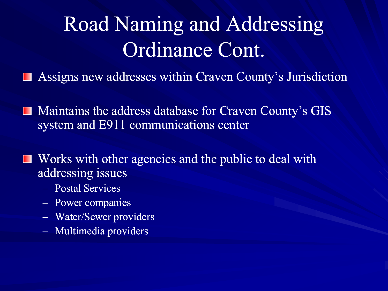# Road Naming and Addressing Ordinance Cont.

- Assigns new addresses within Craven County's Jurisdiction **The State**
- Maintains the address database for Craven County's GIS system and E911 communications center
- Works with other agencies and the public to deal with **The Second** addressing issues
	- Postal Services
	- Power companies
	- Water/Sewer providers
	- Multimedia providers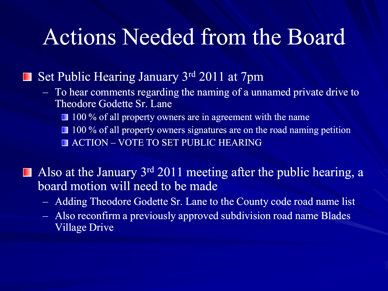### Actions Needed from the Board

#### Set Public Hearing January 3rd 2011 at 7pm **The State**

- To hear comments regarding the naming of a unnamed private drive to Theodore Godette Sr. Lane ■ 100 % of all property owners are in agreement with the name 100 % of all property owners signatures are on the road naming petition **ACTION – VOTE TO SET PUBLIC HEARING**
- Also at the January  $3^{rd}$  2011 meeting after the public hearing, a board motion will need to be made
	- Adding Theodore Godette Sr. Lane to the County code road name list
	- Also reconfirm a previously approved subdivision road name Blades Village Drive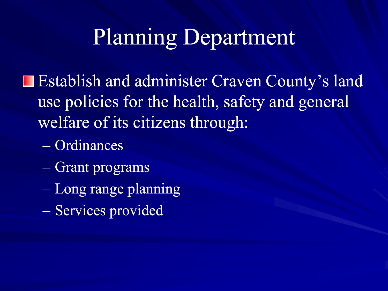# Planning Department

Establish and administer Craven County's land use policies for the health, safety and general welfare of its citizens through:

- $-$  Ordinances
- Grant programs
- Long range planning
- Services provided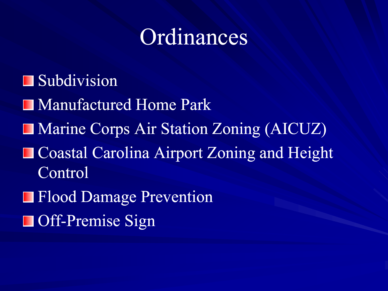## Ordinances

Subdivision ■ Manufactured Home Park Marine Corps Air Station Zoning (AICUZ) **Coastal Carolina Airport Zoning and Height** Control **Flood Damage Prevention Off-Premise Sign**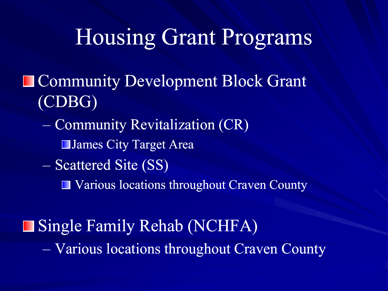### Housing Grant Programs

- **Community Development Block Grant** (CDBG)
	- Community Revitalization (CR)
		- **■James City Target Area**
	- Scattered Site (SS)
		- Various locations throughout Craven County

**Single Family Rehab (NCHFA)** – Various locations throughout Craven County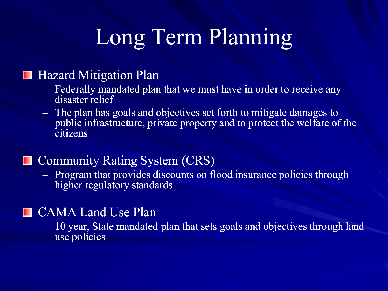# Long Term Planning

#### Hazard Mitigation Plan

- Federally mandated plan that we must have in order to receive any disaster relief
- The plan has goals and objectives set forth to mitigate damages to public infrastructure, private property and to protect the welfare of the citizens

#### Community Rating System (CRS)

– Program that provides discounts on flood insurance policies through higher regulatory standards

### **CAMA Land Use Plan**

– 10 year, State mandated plan that sets goals and objectives through land use policies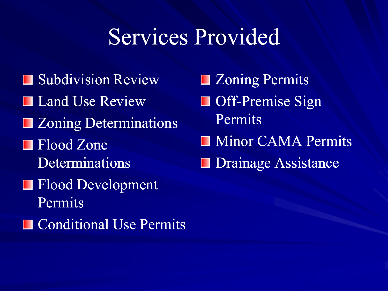### Services Provided

- **Subdivision Review Land Use Review**
- **EXONING Determinations**
- **Flood Zone** Determinations
- Flood Development Permits
- **Conditional Use Permits**

**Example 2** Coning Permits ■ Off-Premise Sign Permits **Minor CAMA Permits Drainage Assistance**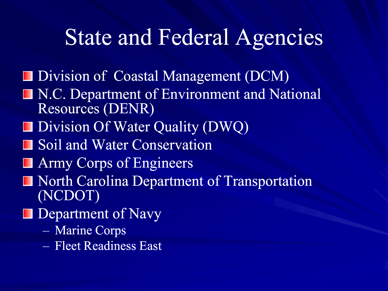### State and Federal Agencies

- Division of Coastal Management (DCM)
- **N.C. Department of Environment and National** Resources (DENR)
- Division Of Water Quality (DWQ)
- **Soil and Water Conservation**
- **Army Corps of Engineers**
- North Carolina Department of Transportation (NCDOT)
- **Department of Navy** 
	- Marine Corps
	- Fleet Readiness East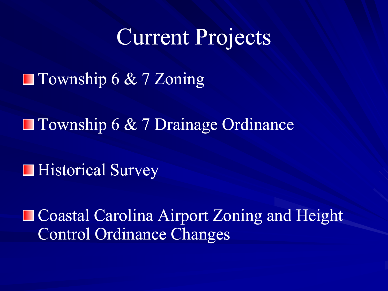### Current Projects

■ Township 6 & 7 Zoning

■ Township 6 & 7 Drainage Ordinance

**■ Historical Survey** 

**Coastal Carolina Airport Zoning and Height** Control Ordinance Changes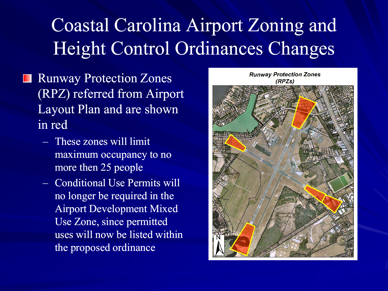### Coastal Carolina Airport Zoning and Height Control Ordinances Changes

- Runway Protection Zones ш (RPZ) referred from Airport Layout Plan and are shown in red
	- These zones will limit maximum occupancy to no more then 25 people
	- Conditional Use Permits will no longer be required in the Airport Development Mixed Use Zone, since permitted uses will now be listed within the proposed ordinance

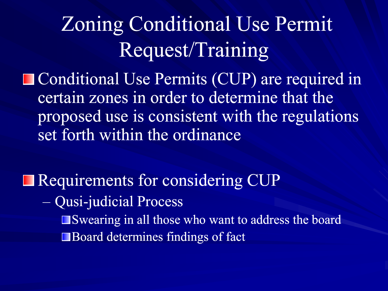# Zoning Conditional Use Permit Request/Training

■ Conditional Use Permits (CUP) are required in certain zones in order to determine that the proposed use is consistent with the regulations set forth within the ordinance

Requirements for considering CUP – Qusi-judicial Process judicial Swearing in all those who want to address the board Board determines findings of fact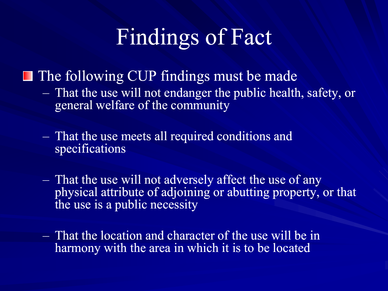## Findings of Fact

**The following CUP findings must be made** 

– That the use will not endanger the public health, safety, or general welfare of the community

– That the use meets all required conditions and specifications

- That the use will not adversely affect the use of any physical attribute of adjoining or abutting property, or that the use is a public necessity
- That the location and character of the use will be in harmony with the area in which it is to be located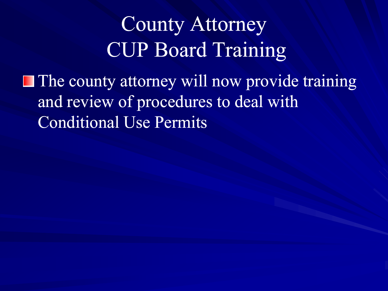### County Attorney CUP Board Training

**The county attorney will now provide training** and review of procedures to deal with Conditional Use Permits